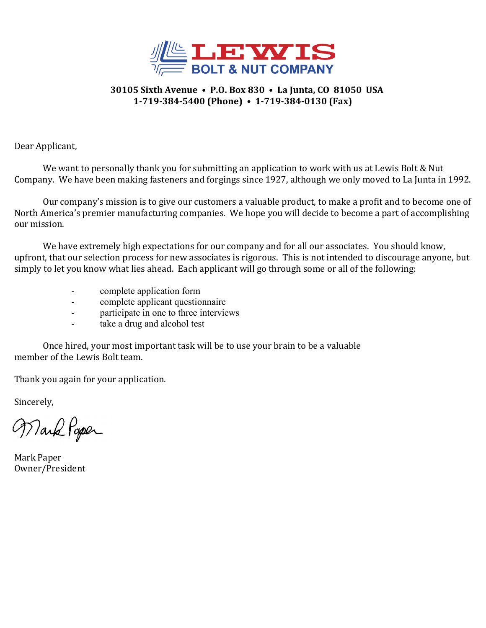

#### **30105 Sixth Avenue • P.O. Box 830 • La Junta, CO 81050 USA 1-719-384-5400 (Phone) • 1-719-384-0130 (Fax)**

Dear Applicant,

We want to personally thank you for submitting an application to work with us at Lewis Bolt & Nut Company. We have been making fasteners and forgings since 1927, although we only moved to La Junta in 1992.

 Our company's mission is to give our customers a valuable product, to make a profit and to become one of North America's premier manufacturing companies. We hope you will decide to become a part of accomplishing our mission.

 We have extremely high expectations for our company and for all our associates. You should know, upfront, that our selection process for new associates is rigorous. This is not intended to discourage anyone, but simply to let you know what lies ahead. Each applicant will go through some or all of the following:

- complete application form
- complete applicant questionnaire
- participate in one to three interviews
- take a drug and alcohol test

 Once hired, your most important task will be to use your brain to be a valuable member of the Lewis Bolt team.

Thank you again for your application.

Sincerely,

Wark Paper

Mark Paper Owner/President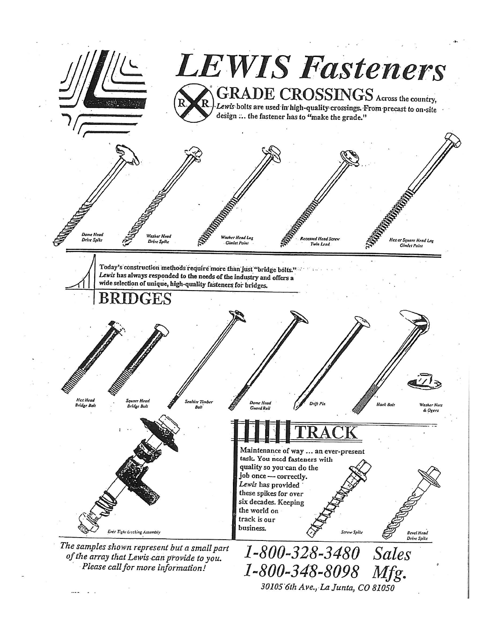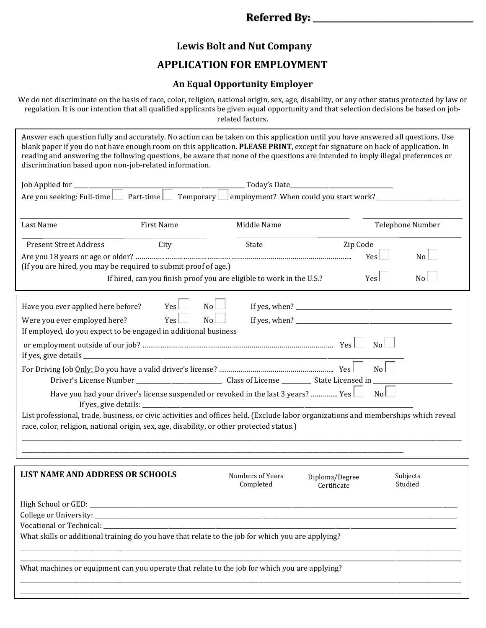### **Referred By: \_\_\_\_\_\_\_\_\_\_\_\_\_\_\_\_\_\_\_\_\_\_\_\_\_\_\_\_\_\_\_\_\_\_\_\_\_\_\_**

# **Lewis Bolt and Nut Company**

# **APPLICATION FOR EMPLOYMENT**

#### **An Equal Opportunity Employer**

We do not discriminate on the basis of race, color, religion, national origin, sex, age, disability, or any other status protected by law or regulation. It is our intention that all qualified applicants be given equal opportunity and that selection decisions be based on jobrelated factors.

Answer each question fully and accurately. No action can be taken on this application until you have answered all questions. Use blank paper if you do not have enough room on this application. **PLEASE PRINT**, except for signature on back of application. In reading and answering the following questions, be aware that none of the questions are intended to imply illegal preferences or discrimination based upon non-job-related information.

| Job Applied for ___________                                                                                                                                                                                                                                                                                                                                                                                                                           |                    |                                                                                                    |                               |                     |  |
|-------------------------------------------------------------------------------------------------------------------------------------------------------------------------------------------------------------------------------------------------------------------------------------------------------------------------------------------------------------------------------------------------------------------------------------------------------|--------------------|----------------------------------------------------------------------------------------------------|-------------------------------|---------------------|--|
| Are you seeking: Full-time Part-time Temporary employment? When could you start work?                                                                                                                                                                                                                                                                                                                                                                 |                    |                                                                                                    |                               |                     |  |
|                                                                                                                                                                                                                                                                                                                                                                                                                                                       |                    |                                                                                                    |                               |                     |  |
| Last Name                                                                                                                                                                                                                                                                                                                                                                                                                                             | First Name         | Middle Name                                                                                        |                               | Telephone Number    |  |
| <b>Present Street Address</b>                                                                                                                                                                                                                                                                                                                                                                                                                         | City               | State                                                                                              | Zip Code                      |                     |  |
| (If you are hired, you may be required to submit proof of age.)                                                                                                                                                                                                                                                                                                                                                                                       |                    |                                                                                                    |                               | Yes<br>No l         |  |
|                                                                                                                                                                                                                                                                                                                                                                                                                                                       |                    | If hired, can you finish proof you are eligible to work in the U.S.?                               |                               | Yes<br>No           |  |
| Have you ever applied here before?                                                                                                                                                                                                                                                                                                                                                                                                                    | Yes                | No                                                                                                 |                               |                     |  |
| Were you ever employed here?                                                                                                                                                                                                                                                                                                                                                                                                                          | $Yes$ $\Box$<br>No |                                                                                                    |                               |                     |  |
| If employed, do you expect to be engaged in additional business                                                                                                                                                                                                                                                                                                                                                                                       |                    |                                                                                                    |                               |                     |  |
|                                                                                                                                                                                                                                                                                                                                                                                                                                                       |                    |                                                                                                    |                               | $\overline{N_{0}}$  |  |
|                                                                                                                                                                                                                                                                                                                                                                                                                                                       |                    |                                                                                                    |                               | $\overline{N_{0}}$  |  |
|                                                                                                                                                                                                                                                                                                                                                                                                                                                       |                    | Have you had your driver's license suspended or revoked in the last 3 years?  Yes $\Box$ No $\Box$ |                               |                     |  |
| List professional, trade, business, or civic activities and offices held. (Exclude labor organizations and memberships which reveal                                                                                                                                                                                                                                                                                                                   |                    |                                                                                                    |                               |                     |  |
| race, color, religion, national origin, sex, age, disability, or other protected status.)                                                                                                                                                                                                                                                                                                                                                             |                    |                                                                                                    |                               |                     |  |
|                                                                                                                                                                                                                                                                                                                                                                                                                                                       |                    |                                                                                                    |                               |                     |  |
|                                                                                                                                                                                                                                                                                                                                                                                                                                                       |                    |                                                                                                    |                               |                     |  |
| <b>LIST NAME AND ADDRESS OR SCHOOLS</b>                                                                                                                                                                                                                                                                                                                                                                                                               |                    | Numbers of Years<br>Completed                                                                      | Diploma/Degree<br>Certificate | Subjects<br>Studied |  |
|                                                                                                                                                                                                                                                                                                                                                                                                                                                       |                    |                                                                                                    |                               |                     |  |
| $\textbf{Collecter University: } \underline{\hspace{2cm}} \textcolor{red}{\bullet} \textbf{[} \textbf{[} \textbf{[} \textbf{[} \textbf{[} \textbf{[} \textbf{[} \textbf{[} \textbf{[} \textbf{[} \textbf{[} \textbf{[} \textbf{[} \textbf{[} \textbf{[} \textbf{[} \textbf{[} \textbf{[} \textbf{[} \textbf{[} \textbf{[} \textbf{[} \textbf{[} \textbf{[} \textbf{[} \textbf{[} \textbf{[} \textbf{[} \textbf{[} \textbf{[} \textbf{[} \textbf{[} \$ |                    |                                                                                                    |                               |                     |  |
| Vocational or Technical:<br>What skills or additional training do you have that relate to the job for which you are applying?                                                                                                                                                                                                                                                                                                                         |                    |                                                                                                    |                               |                     |  |
|                                                                                                                                                                                                                                                                                                                                                                                                                                                       |                    |                                                                                                    |                               |                     |  |
| What machines or equipment can you operate that relate to the job for which you are applying?                                                                                                                                                                                                                                                                                                                                                         |                    |                                                                                                    |                               |                     |  |
|                                                                                                                                                                                                                                                                                                                                                                                                                                                       |                    |                                                                                                    |                               |                     |  |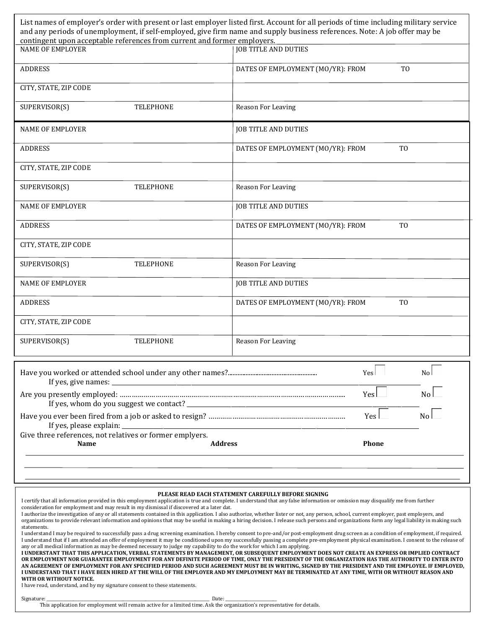| contingent upon acceptable references from current and former employers. | List names of employer's order with present or last employer listed first. Account for all periods of time including military service<br>and any periods of unemployment, if self-employed, give firm name and supply business references. Note: A job offer may be |
|--------------------------------------------------------------------------|---------------------------------------------------------------------------------------------------------------------------------------------------------------------------------------------------------------------------------------------------------------------|
| <b>NAME OF EMPLOYER</b>                                                  | <b>JOB TITLE AND DUTIES</b>                                                                                                                                                                                                                                         |
| <b>ADDRESS</b>                                                           | DATES OF EMPLOYMENT (MO/YR): FROM<br>T <sub>0</sub>                                                                                                                                                                                                                 |
| CITY, STATE, ZIP CODE                                                    |                                                                                                                                                                                                                                                                     |
| SUPERVISOR(S)<br><b>TELEPHONE</b>                                        | Reason For Leaving                                                                                                                                                                                                                                                  |
| NAME OF EMPLOYER                                                         | <b>JOB TITLE AND DUTIES</b>                                                                                                                                                                                                                                         |
| <b>ADDRESS</b>                                                           | T <sub>0</sub><br>DATES OF EMPLOYMENT (MO/YR): FROM                                                                                                                                                                                                                 |
| CITY, STATE, ZIP CODE                                                    |                                                                                                                                                                                                                                                                     |
| SUPERVISOR(S)<br><b>TELEPHONE</b>                                        | Reason For Leaving                                                                                                                                                                                                                                                  |
| <b>NAME OF EMPLOYER</b>                                                  | <b>JOB TITLE AND DUTIES</b>                                                                                                                                                                                                                                         |
| <b>ADDRESS</b>                                                           | DATES OF EMPLOYMENT (MO/YR): FROM<br>T <sub>0</sub>                                                                                                                                                                                                                 |
| CITY, STATE, ZIP CODE                                                    |                                                                                                                                                                                                                                                                     |
| <b>TELEPHONE</b><br>SUPERVISOR(S)                                        | Reason For Leaving                                                                                                                                                                                                                                                  |
| <b>NAME OF EMPLOYER</b>                                                  | <b>JOB TITLE AND DUTIES</b>                                                                                                                                                                                                                                         |
| <b>ADDRESS</b>                                                           | T <sub>O</sub><br>DATES OF EMPLOYMENT (MO/YR): FROM                                                                                                                                                                                                                 |
| CITY, STATE, ZIP CODE                                                    |                                                                                                                                                                                                                                                                     |
| SUPERVISOR(S)<br><b>TELEPHONE</b>                                        | Reason For Leaving                                                                                                                                                                                                                                                  |
| If yes, give names:                                                      | No<br>Yes                                                                                                                                                                                                                                                           |

|                                                          |                | Υρςι  | N <sub>0</sub> |
|----------------------------------------------------------|----------------|-------|----------------|
|                                                          |                | Yes l |                |
| Give three references, not relatives or former emplyers. |                |       |                |
| <b>Name</b>                                              | <b>Address</b> | Phone |                |
|                                                          |                |       |                |

#### **PLEASE READ EACH STATEMENT CAREFULLY BEFORE SIGNING**

I certify that all information provided in this employment application is true and complete. I understand that any false information or omission may disqualify me from further consideration for employment and may result in my dismissal if discovered at a later dat.

| I authorize the investigation of any or all statements contained in this application. I also authorize, whether lister or not, any person, school, current employer, past employers, and    |
|---------------------------------------------------------------------------------------------------------------------------------------------------------------------------------------------|
| organizations to provide relevant information and opinions that may be useful in making a hiring decision. I release such persons and organizations form any legal liability in making such |
| statements.                                                                                                                                                                                 |

I understand I may be required to successfully pass a drug screening examination. I hereby consent to pre-and/or post-employment drug screen as a condition of employment, if required. I understand that if I am attended an offer of employment it may be conditioned upon my successfully passing a complete pre-employment physical examination. I consent to the release of any or all medical information as may be deemed necessary to judge my capability to do the work for which I am applying.

**I UNDERSTANT THAT THIS APPLICATION, VERBAL STATEMENTS BY MANAGEMENT, OR SUBSEQUENT EMPLOYMENT DOES NOT CREATE AN EXPRESS OR IMPLIED CONTRACT OR EMPLOYMENT NOR GUARANTEE EMPLOYMENT FOR ANY DEFINITE PERIOD OF TIME, ONLY THE PRESIDENT OF THE ORGANIZATION HAS THE AUTHORITY TO ENTER INTO AN AGREEMENT OF EMPLOYMENT FOR ANY SPECIFIED PERIOD AND SUCH AGREEMENT MUST BE IN WRITING, SIGNED BY THE PRESIDENT AND THE EMPLOYEE. IF EMPLOYED, I UNDERSTAND THAT I HAVE BEEN HIRED AT THE WILL OF THE EMPLOYER AND MY EMPLOYMENT MAY BE TERMINATED AT ANY TIME, WITH OR WITHOUT REASON AND WITH OR WITHOUT NOTICE.** 

I have read, understand, and by my signature consent to these statements.

Signature: \_\_\_\_\_\_\_\_\_\_\_\_\_\_\_\_\_\_\_\_\_\_\_\_\_\_\_\_\_\_\_\_\_\_\_\_\_\_\_\_\_\_\_\_\_\_\_\_\_\_\_\_\_\_\_\_\_\_\_\_\_\_\_\_\_\_\_\_\_\_\_\_\_\_\_\_\_\_\_ Date: \_\_\_\_\_\_\_\_\_\_\_\_\_\_\_\_\_\_\_\_\_\_\_\_\_

This application for employment will remain active for a limited time. Ask the organization's representative for details.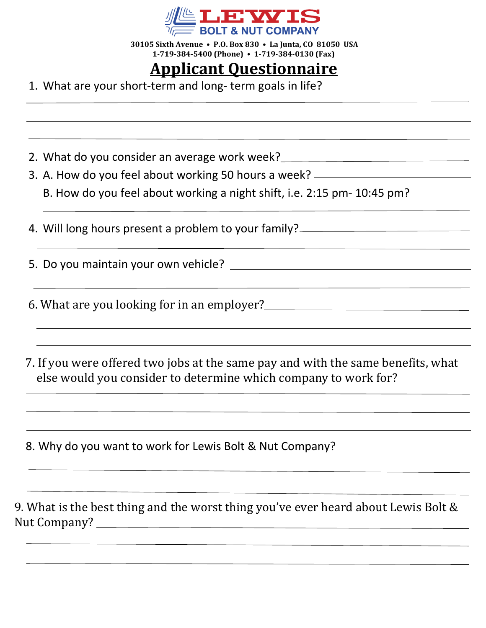

 **30105 Sixth Avenue • P.O. Box 830 • La Junta, CO 81050 USA 1-719-384-5400 (Phone) • 1-719-384-0130 (Fax)** 

# **Applicant Questionnaire**

1. What are your short-term and long- term goals in life?

- 2. What do you consider an average work week?
- 3. A. How do you feel about working 50 hours a week?
	- B. How do you feel about working a night shift, i.e. 2:15 pm- 10:45 pm?

4. Will long hours present a problem to your family?

5. Do you maintain your own vehicle?

6. What are you looking for in an employer?

 7. If you were offered two jobs at the same pay and with the same benefits, what else would you consider to determine which company to work for?

8. Why do you want to work for Lewis Bolt & Nut Company?

9. What is the best thing and the worst thing you've ever heard about Lewis Bolt & Nut Company?